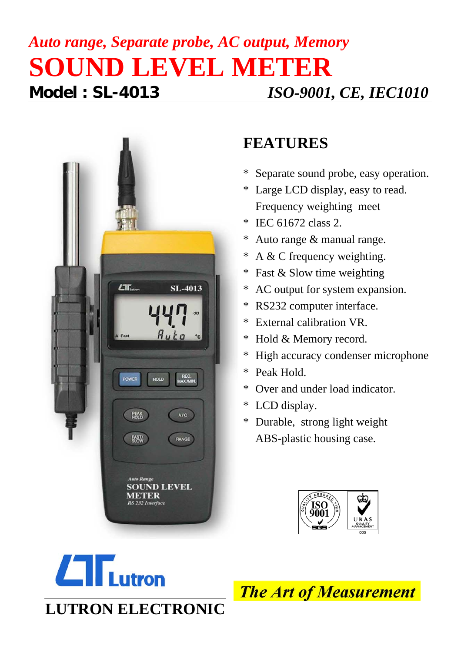## *Auto range, Separate probe, AC output, Memory* **SOUND LEVEL METER Model : SL-4013** *ISO-9001, CE, IEC1010*



## **FEATURES**

- \* Separate sound probe, easy operation.
- \* Large LCD display, easy to read. Frequency weighting meet
- \* IEC 61672 class 2.
- Auto range  $&$  manual range.
- \* A & C frequency weighting.
- \* Fast & Slow time weighting
- \* AC output for system expansion.
- \* RS232 computer interface.
- \* External calibration VR.
- \* Hold & Memory record.
- \* High accuracy condenser microphone
- \* Peak Hold.
- \* Over and under load indicator.
- \* LCD display.
- \* Durable, strong light weight ABS-plastic housing case.





**The Art of Measurement**